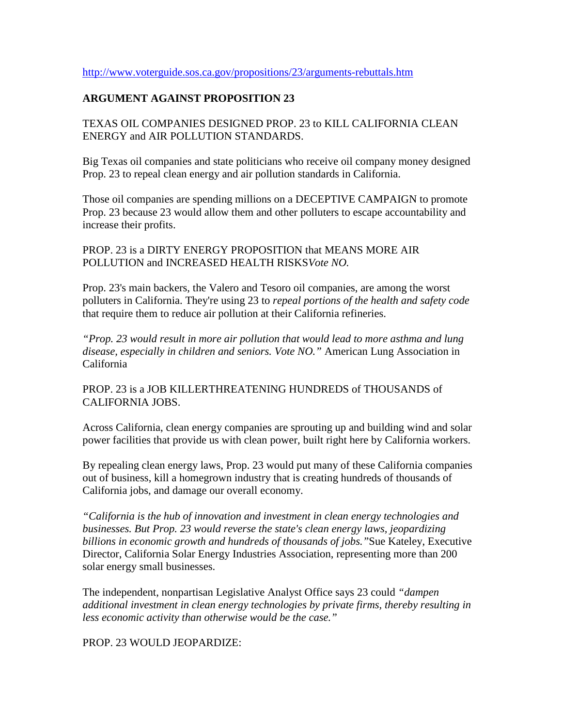# **ARGUMENT AGAINST PROPOSITION 23**

TEXAS OIL COMPANIES DESIGNED PROP. 23 to KILL CALIFORNIA CLEAN ENERGY and AIR POLLUTION STANDARDS.

Big Texas oil companies and state politicians who receive oil company money designed Prop. 23 to repeal clean energy and air pollution standards in California.

Those oil companies are spending millions on a DECEPTIVE CAMPAIGN to promote Prop. 23 because 23 would allow them and other polluters to escape accountability and increase their profits.

PROP. 23 is a DIRTY ENERGY PROPOSITION that MEANS MORE AIR POLLUTION and INCREASED HEALTH RISKS*Vote NO.*

Prop. 23's main backers, the Valero and Tesoro oil companies, are among the worst polluters in California. They're using 23 to *repeal portions of the health and safety code* that require them to reduce air pollution at their California refineries.

*"Prop. 23 would result in more air pollution that would lead to more asthma and lung disease, especially in children and seniors. Vote NO."* American Lung Association in California

PROP. 23 is a JOB KILLERTHREATENING HUNDREDS of THOUSANDS of CALIFORNIA JOBS.

Across California, clean energy companies are sprouting up and building wind and solar power facilities that provide us with clean power, built right here by California workers.

By repealing clean energy laws, Prop. 23 would put many of these California companies out of business, kill a homegrown industry that is creating hundreds of thousands of California jobs, and damage our overall economy.

*"California is the hub of innovation and investment in clean energy technologies and businesses. But Prop. 23 would reverse the state's clean energy laws, jeopardizing billions in economic growth and hundreds of thousands of jobs."*Sue Kateley, Executive Director, California Solar Energy Industries Association, representing more than 200 solar energy small businesses.

The independent, nonpartisan Legislative Analyst Office says 23 could *"dampen additional investment in clean energy technologies by private firms, thereby resulting in less economic activity than otherwise would be the case."*

PROP. 23 WOULD JEOPARDIZE: